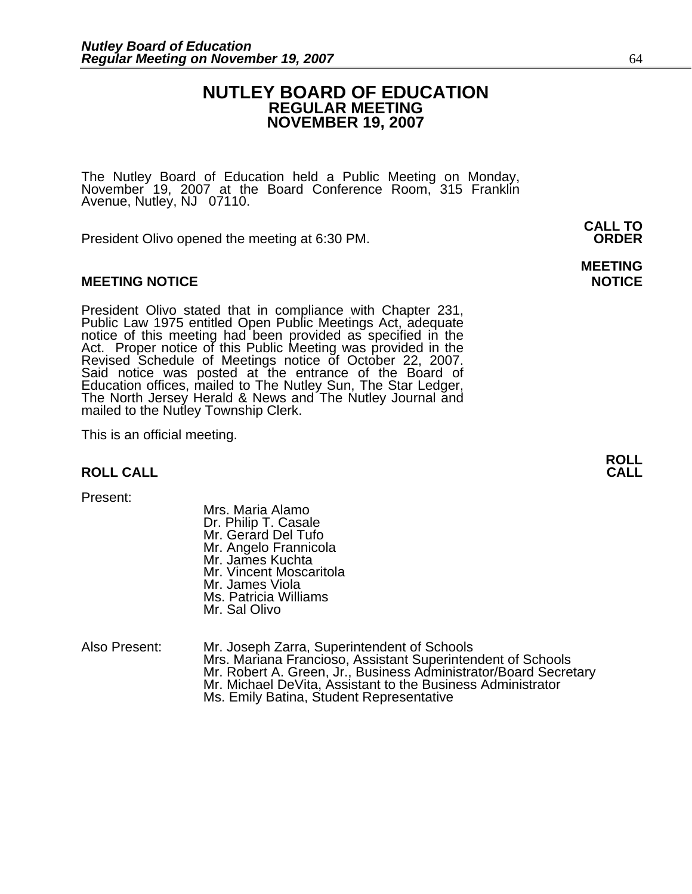### **NUTLEY BOARD OF EDUCATION REGULAR MEETING NOVEMBER 19, 2007**

**MEETING** 

The Nutley Board of Education held a Public Meeting on Monday, November 19, 2007 at the Board Conference Room, 315 Franklin Avenue, Nutley, NJ 07110.

 **CALL TO**  President Olivo opened the meeting at 6:30 PM. **ORDER**

#### **MEETING NOTICE NOTICE REPORTS AND RESIDENT ASSAULT ASSAULT AND REPORT OF A SECOND PROPERTY OF A SECOND PROPERTY**

President Olivo stated that in compliance with Chapter 231, Public Law 1975 entitled Open Public Meetings Act, adequate notice of this meeting had been provided as specified in the Act. Proper notice of this Public Meeting Said notice was posted at the entrance of the Board of Education offices, mailed to The Nutley Sun, The Star Ledger,<br>The North Jersey Herald & News and The Nutley Journal and<br>mailed to the Nutley Township Clerk.

This is an official meeting.

#### **ROLL CALL**

Present:

 Mrs. Maria Alamo Dr. Philip T. Casale Mr. Gerard Del Tufo Mr. Angelo Frannicola Mr. James Kuchta Mr. Vincent Moscaritola Mr. James Viola Ms. Patricia Williams Mr. Sal Olivo

Also Present: Mr. Joseph Zarra, Superintendent of Schools Mr. Robert A. Green, Jr., Business Administrator/Board Secretary Mr. Robert A. Green, Jr., Business Administrator/Board Secretary Ms. Emily Batina, Student Representative

**ROLL**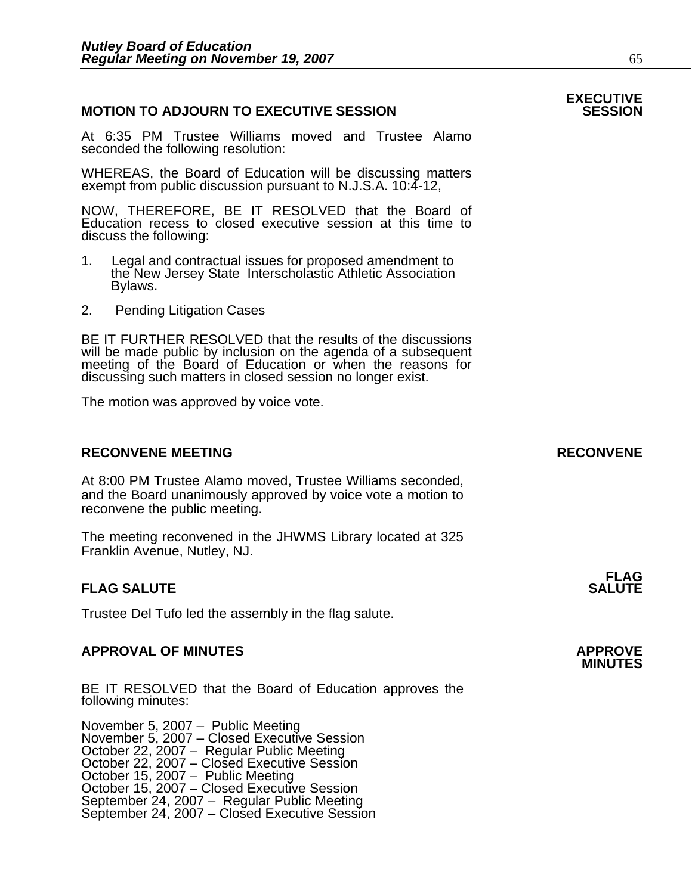### **MOTION TO ADJOURN TO EXECUTIVE SESSION**

At 6:35 PM Trustee Williams moved and Trustee Alamo seconded the following resolution:

WHEREAS, the Board of Education will be discussing matters exempt from public discussion pursuant to N.J.S.A. 10:4-12,

NOW, THEREFORE, BE IT RESOLVED that the Board of Education recess to closed executive session at this time to discuss the following:

- 1. Legal and contractual issues for proposed amendment to the New Jersey State Interscholastic Athletic Association Bylaws.
- 2. Pending Litigation Cases

BE IT FURTHER RESOLVED that the results of the discussions will be made public by inclusion on the agenda of a subsequent meeting of the Board of Education or when the reasons for discussing such matters in closed session no longer exist. 

The motion was approved by voice vote.

### **RECONVENE MEETING RECONVENE**

At 8:00 PM Trustee Alamo moved, Trustee Williams seconded, and the Board unanimously approved by voice vote a motion to reconvene the public meeting.

The meeting reconvened in the JHWMS Library located at 325 Franklin Avenue, Nutley, NJ.

#### **FLAG FLAG SALUTE** SALUTE SALUTE SALUTE SALUTE SALUTE

Trustee Del Tufo led the assembly in the flag salute.

## **APPROVAL OF MINUTES APPROVE**

BE IT RESOLVED that the Board of Education approves the following minutes:

November 5, 2007 – Public Meeting<br>November 5, 2007 – Closed Executive Session October 22, 2007 – Regular Public Meeting October 22, 2007 – Closed Executive Session October 15, 2007 – Public Meeting October 15, 2007 – Closed Executive Session September 24, 2007 – Regular Public Meeting<br>September 24, 2007 – Closed Executive Session

# **EXECUTIVE**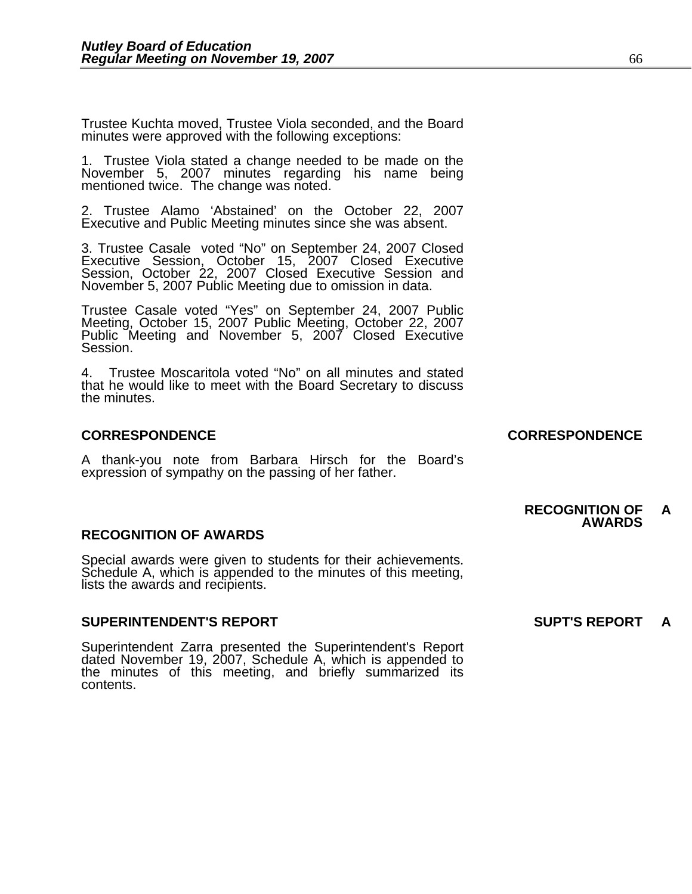Trustee Kuchta moved, Trustee Viola seconded, and the Board minutes were approved with the following exceptions:

1. Trustee Viola stated a change needed to be made on the November 5, 2007 minutes regarding his name being mentioned twice. The change was noted.

2. Trustee Alamo 'Abstained' on the October 22, 2007 Executive and Public Meeting minutes since she was absent.

3. Trustee Casale voted "No" on September 24, 2007 Closed Executive Session, October 15, 2007 Closed Executive Session, October 22, 2007 Closed Executive Session and November 5, 2007 Public Meeting due to omission in data.

Trustee Casale voted "Yes" on September 24, 2007 Public Meeting, October 15, 2007 Public Meeting, October 22, 2007 Public Meeting and November 5, 2007 Closed Executive Session.

4. Trustee Moscaritola voted "No" on all minutes and stated that he would like to meet with the Board Secretary to discuss the minutes.

#### **CORRESPONDENCE CORRESPONDENCE**

A thank-you note from Barbara Hirsch for the Board's expression of sympathy on the passing of her father.

#### **RECOGNITION OF AWARDS**

Special awards were given to students for their achievements.<br>Schedule A, which is appended to the minutes of this meeting, lists the awards and recipients.

#### **SUPERINTENDENT'S REPORT SUPT'S REPORT A**

Superintendent Zarra presented the Superintendent's Report dated November 19, 2007, Schedule A, which is appended to the minutes of this meeting, and briefly summarized its contents.

**RECOGNITION OF A AWARDS**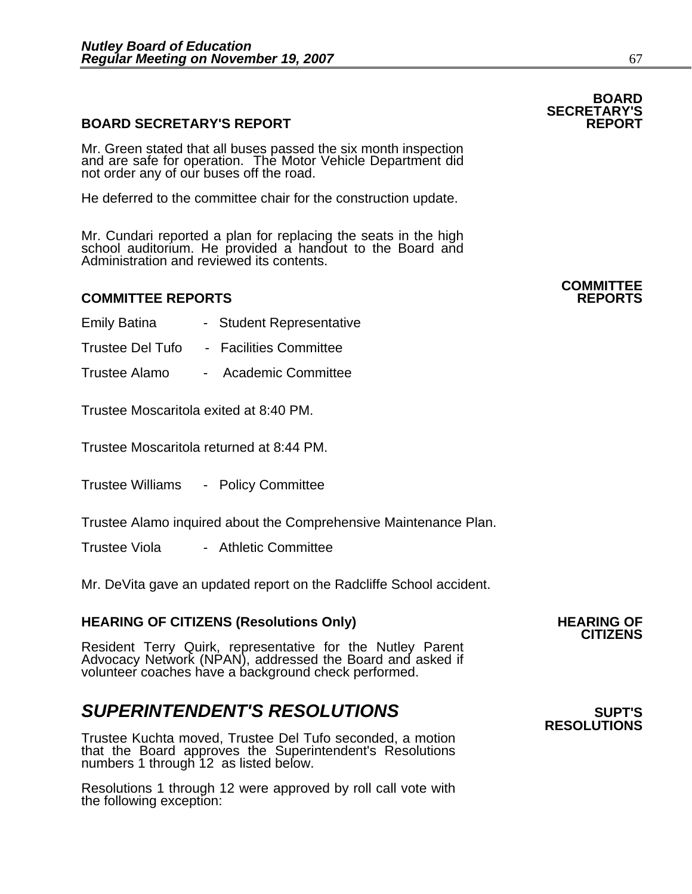### **BOARD SECRETARY'S REPORT**

Mr. Green stated that all buses passed the six month inspection and are safe for operation. The Motor Vehicle Department did not order any of our buses off the road.

He deferred to the committee chair for the construction update.

Mr. Cundari reported a plan for replacing the seats in the high school auditorium. He provided a handout to the Board and Administration and reviewed its contents.

#### **COMMITTEE REPORTS REPORTS**

- Emily Batina Student Representative
- Trustee Del Tufo Facilities Committee
- Trustee Alamo Academic Committee

Trustee Moscaritola exited at 8:40 PM.

Trustee Moscaritola returned at 8:44 PM.

Trustee Williams - Policy Committee

Trustee Alamo inquired about the Comprehensive Maintenance Plan.

Trustee Viola - Athletic Committee

Mr. DeVita gave an updated report on the Radcliffe School accident.

## **HEARING OF CITIZENS (Resolutions Only) HEARING OF CITIZENS**

Resident Terry Quirk, representative for the Nutley Parent Advocacy Network (NPAN), addressed the Board and asked if volunteer coaches have a background check performed.

## **SUPERINTENDENT'S RESOLUTIONS** *SUPERINTENDENT'S*

Trustee Kuchta moved, Trustee Del Tufo seconded, a motion that the Board approves the Superintendent's Resolutions numbers 1 through 12 as listed below.

Resolutions 1 through 12 were approved by roll call vote with the following exception:

**RESOLUTIONS** 

## **BOARD SECRETARY'S**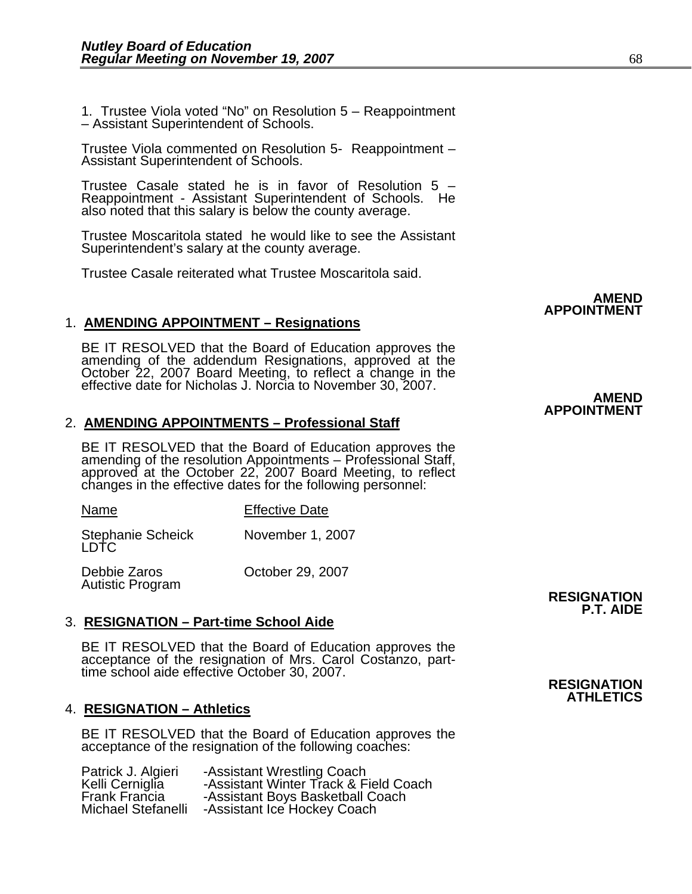1. Trustee Viola voted "No" on Resolution 5 – Reappointment – Assistant Superintendent of Schools.

Trustee Viola commented on Resolution 5- Reappointment – Assistant Superintendent of Schools.

Trustee Casale stated he is in favor of Resolution 5 – Reappointment - Assistant Superintendent of Schools. He also noted that this salary is below the county average.

Trustee Moscaritola stated he would like to see the Assistant Superintendent's salary at the county average.

Trustee Casale reiterated what Trustee Moscaritola said.

### 1. **AMENDING APPOINTMENT – Resignations**

BE IT RESOLVED that the Board of Education approves the amending of the addendum Resignations, approved at the October 22, 2007 Board Meeting, to reflect a change in the effective date for Nicholas J. Norcia to November 30

#### 2. **AMENDING APPOINTMENTS – Professional Staff**

BE IT RESOLVED that the Board of Education approves the amending of the resolution Appointments – Professional Staff, approved at the October 22, 2007 Board Meeting, to reflect changes in the effective dates for the follow

| <b>Stephanie Scheick</b><br>LDTC | November 1, 2007 |
|----------------------------------|------------------|

Name Effective Date

Debbie Zaros Corober 29, 2007<br>Autistic Program

### 3. **RESIGNATION – Part-time School Aide**

BE IT RESOLVED that the Board of Education approves the acceptance of the resignation of Mrs. Carol Costanzo, part-<br>time school aide effective October 30, 2007.

#### 4. **RESIGNATION – Athletics**

BE IT RESOLVED that the Board of Education approves the acceptance of the resignation of the following coaches:

| Patrick J. Algieri        | -Assistant Wrestling Coach            |
|---------------------------|---------------------------------------|
| Kelli Cerniglia           | -Assistant Winter Track & Field Coach |
| <b>Frank Francia</b>      | -Assistant Boys Basketball Coach      |
| <b>Michael Stefanelli</b> | -Assistant Ice Hockey Coach           |

#### **AMEND APPOINTMENT**

#### **AMEND APPOINTMENT**

Autistic Program **RESIGNATION RESIGNATION P.T. AIDE** 

#### **RESIGNATION ATHLETICS**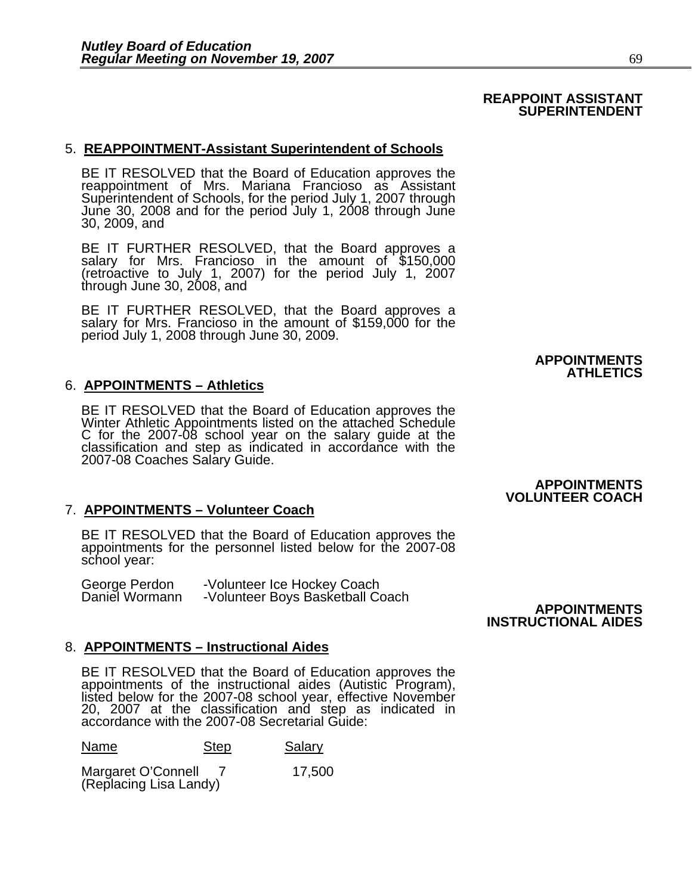#### **REAPPOINT ASSISTANT SUPERINTENDENT**

#### 5. **REAPPOINTMENT-Assistant Superintendent of Schools**

BE IT RESOLVED that the Board of Education approves the reappointment of Mrs. Mariana Francioso as Assistant Superintendent of Schools, for the period July 1, 2007 through June 30, 2008 and for the period July 1, 2008 through June 30, 2009, and

BE IT FURTHER RESOLVED, that the Board approves a<br>salary for Mrs. Francioso in the amount of \$150,000 (retroactive to July 1, 2007) for the period July 1, 2007<br>through June 30, 2008, and

BE IT FURTHER RESOLVED, that the Board approves a salary for Mrs. Francioso in the amount of \$159,000 for the period July 1, 2008 through June 30, 2009.

#### **APPOINTMENTS ATHLETICS**

#### 6. **APPOINTMENTS – Athletics**

BE IT RESOLVED that the Board of Education approves the Winter Athletic Appointments listed on the attached Schedule C for the 2007-08 school year on the salary guide at the classification and step as indicated in accordance with the 2007-08 Coaches Salary Guide.

#### 7. **APPOINTMENTS – Volunteer Coach**

BE IT RESOLVED that the Board of Education approves the appointments for the personnel listed below for the 2007-08 school year:

| George Perdon  | -Volunteer Ice Hockey Coach      |                     |
|----------------|----------------------------------|---------------------|
| Daniel Wormann | -Volunteer Boys Basketball Coach |                     |
|                |                                  | <b>APPOINTMENTS</b> |

#### 8. **APPOINTMENTS – Instructional Aides**

BE IT RESOLVED that the Board of Education approves the appointments of the instructional aides (Autistic Program), listed below for the 2007-08 school year, effective November 20, 2007 at the classification and step as in

Name Step Salary

Margaret O'Connell 7 17,500 (Replacing Lisa Landy)

**APPOINTMENTS VOLUNTEER COACH** 

 **INSTRUCTIONAL AIDES**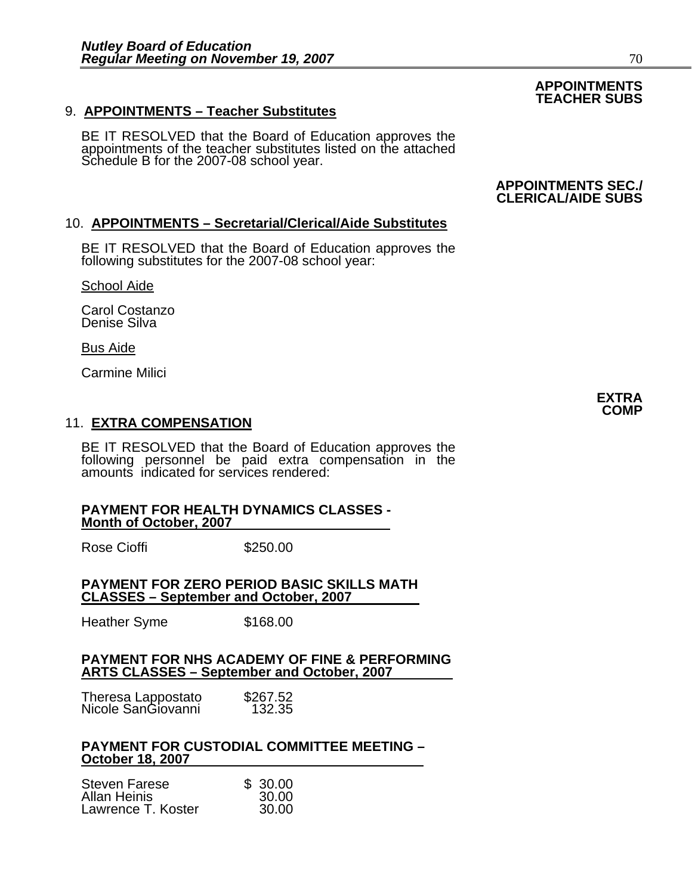### 9. **APPOINTMENTS – Teacher Substitutes**

BE IT RESOLVED that the Board of Education approves the appointments of the teacher substitutes listed on the attached Schedule B for the 2007-08 school year.

### 10. **APPOINTMENTS – Secretarial/Clerical/Aide Substitutes**

BE IT RESOLVED that the Board of Education approves the following substitutes for the 2007-08 school year:

School Aide

Carol Costanzo Denise Silva

#### Bus Aide

Carmine Milici

### 11. **EXTRA COMPENSATION**

BE IT RESOLVED that the Board of Education approves the following personnel be paid extra compensation in the amounts indicated for services rendered:

#### **PAYMENT FOR HEALTH DYNAMICS CLASSES - Month of October, 2007**

Rose Cioffi **\$250.00** 

#### **PAYMENT FOR ZERO PERIOD BASIC SKILLS MATH CLASSES – September and October, 2007**

Heather Syme \$168.00

#### **PAYMENT FOR NHS ACADEMY OF FINE & PERFORMING ARTS CLASSES – September and October, 2007**

| Theresa Lappostato<br>Nicole SanGiovanni | \$267.52 |
|------------------------------------------|----------|
|                                          | 132.35   |

#### **PAYMENT FOR CUSTODIAL COMMITTEE MEETING – October 18, 2007**

| Steven Farese      | \$30.00 |
|--------------------|---------|
| Allan Heinis       | 30.00   |
| Lawrence T. Koster | 30.00   |

**EXTRA COMP** 

### **APPOINTMENTS TEACHER SUBS**

**APPOINTMENTS SEC./ CLERICAL/AIDE SUBS**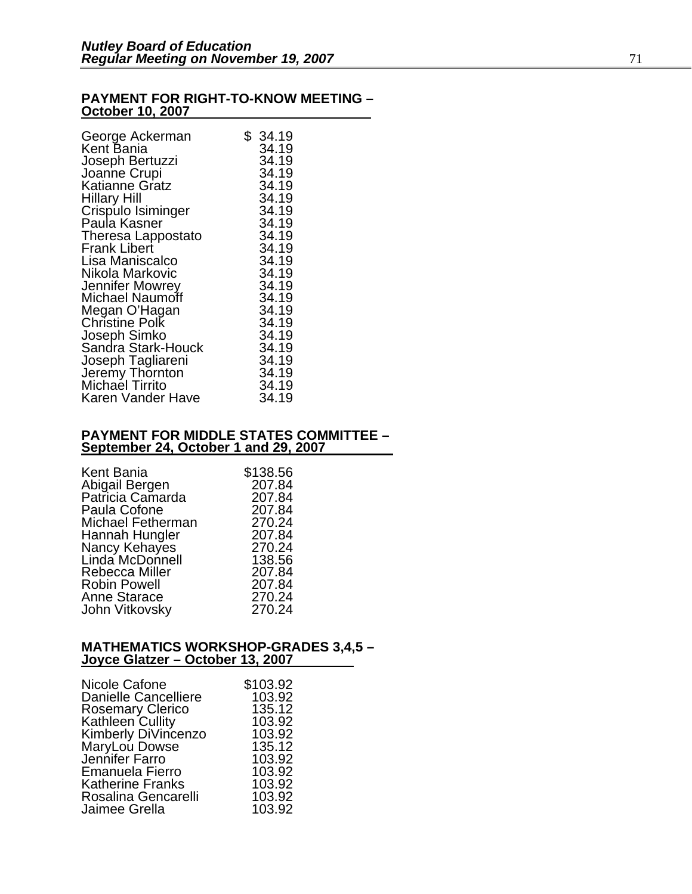### **PAYMENT FOR RIGHT-TO-KNOW MEETING – October 10, 2007**

| George Ackerman                    | \$34.19        |
|------------------------------------|----------------|
| Kent Bania                         | 34.19<br>34.19 |
| Joseph Bertuzzi<br>Joanne Crupi    | 34.19          |
| Katianne Gratz                     | 34.19          |
| Hillary Hill                       | 34.19          |
| Crispulo Isiminger                 | 34.19          |
| Paula Kasner                       | 34.19          |
| Theresa Lappostato                 | 34.19          |
| <b>Frank Libert</b>                | 34.19          |
| Lisa Maniscalco                    | 34.19          |
| Nikola Markovic                    | 34.19          |
| Jennifer Mowrey                    | 34.19          |
| Michael Naumoff                    | 34.19          |
|                                    | 34.19          |
| Megan O'Hagan<br>Christine Polk    | 34.19          |
| Joseph Simko                       | 34.19          |
| Sandra Stark-Houck                 | 34.19          |
| Joseph Tagliareni                  | 34.19          |
| Jeremy Thornton<br>Michael Tirrito | 34.19          |
|                                    | 34.19          |
| Karen Vander Have                  | 34.19          |

#### **PAYMENT FOR MIDDLE STATES COMMITTEE – September 24, October 1 and 29, 2007**

| Kent Bania          | \$138.56 |
|---------------------|----------|
| Abigail Bergen      | 207.84   |
|                     |          |
| Patricia Camarda    | 207.84   |
| Paula Cofone        | 207.84   |
| Michael Fetherman   | 270.24   |
| Hannah Hungler      | 207.84   |
| Nancy Kehayes       | 270.24   |
| Linda McDonnell     | 138.56   |
| Rebecca Miller      | 207.84   |
| <b>Robin Powell</b> | 207.84   |
| <b>Anne Starace</b> | 270.24   |
| John Vitkovsky      | 270.24   |

#### **MATHEMATICS WORKSHOP-GRADES 3,4,5 – Joyce Glatzer – October 13, 2007**

| Nicole Cafone               | \$103.92 |
|-----------------------------|----------|
| <b>Danielle Cancelliere</b> | 103.92   |
| <b>Rosemary Clerico</b>     | 135.12   |
|                             |          |
| Kathleen Cullity            | 103.92   |
| Kimberly DiVincenzo         | 103.92   |
| MaryLou Dowse               | 135.12   |
| Jennifer Farro              | 103.92   |
| <b>Emanuela Fierro</b>      | 103.92   |
| <b>Katherine Franks</b>     | 103.92   |
| Rosalina Gencarelli         | 103.92   |
| Jaimee Grella               | 103.92   |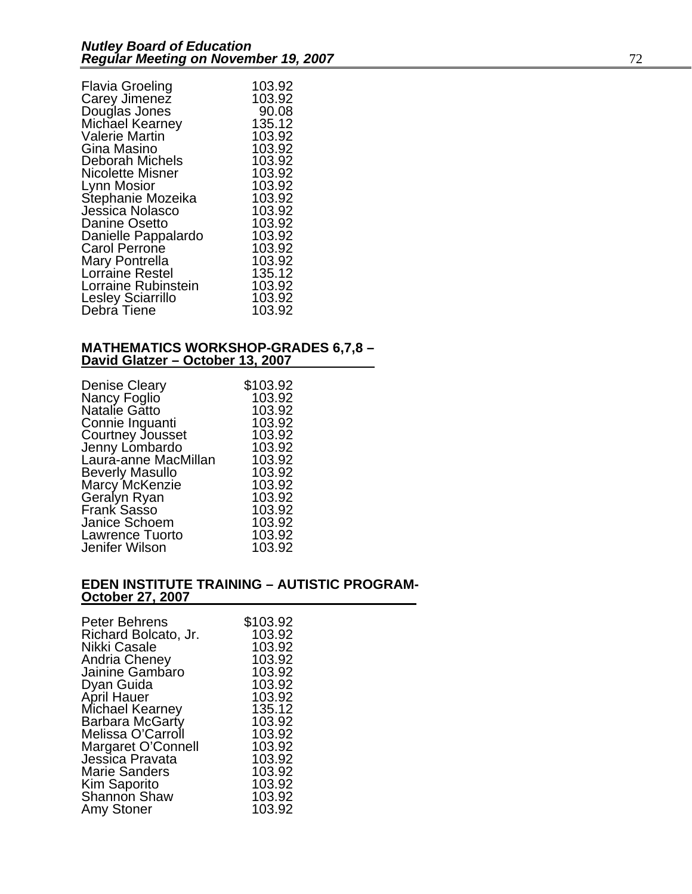| Flavia Groeling          | 103.92 |
|--------------------------|--------|
| Carey Jimenez            | 103.92 |
| Douglas Jones            | 90.08  |
| Michael Kearney          | 135.12 |
| Valerie Martin           | 103.92 |
| Gina Masino              | 103.92 |
| Deborah Michels          | 103.92 |
| Nicolette Misner         | 103.92 |
| Lynn Mosior              | 103.92 |
| Stephanie Mozeika        | 103.92 |
| Jessica Nolasco          | 103.92 |
| <b>Danine Osetto</b>     | 103.92 |
| Danielle Pappalardo      | 103.92 |
| <b>Carol Perrone</b>     | 103.92 |
| Mary Pontrella           | 103.92 |
| Lorraine Restel          | 135.12 |
| Lorraine Rubinstein      | 103.92 |
| <b>Lesley Sciarrillo</b> | 103.92 |
| Debra Tiene              | 103.92 |

#### **MATHEMATICS WORKSHOP-GRADES 6,7,8 – David Glatzer – October 13, 2007**

| <b>Denise Cleary</b>          | \$103.92 |
|-------------------------------|----------|
|                               | 103.92   |
| Nancy Foglio<br>Natalie Gatto | 103.92   |
| Connie Inguanti               | 103.92   |
| <b>Courtney Jousset</b>       | 103.92   |
| Jenny Lombardo                | 103.92   |
| Laura-anne MacMillan          | 103.92   |
| <b>Beverly Masullo</b>        | 103.92   |
| Marcy McKenzie                | 103.92   |
| Geralyn Ryan                  | 103.92   |
| Frank Sasso                   | 103.92   |
| Janice Schoem                 | 103.92   |
| <b>Lawrence Tuorto</b>        | 103.92   |
| Jenifer Wilson                | 103.92   |

#### **EDEN INSTITUTE TRAINING – AUTISTIC PROGRAM-October 27, 2007**

| <b>Peter Behrens</b>                  | \$103.92 |
|---------------------------------------|----------|
| Richard Bolcato, Jr.                  | 103.92   |
| Nikki Casale                          | 103.92   |
| <b>Andria Cheney</b>                  | 103.92   |
| Jainine Gambaro                       | 103.92   |
| Dyan Guida                            | 103.92   |
| April Hauer                           | 103.92   |
| Michael Kearney                       | 135.12   |
| Barbara McGarty                       | 103.92   |
| Melissa O'Carroll                     | 103.92   |
| Margaret O'Connell<br>Jessica Pravata | 103.92   |
|                                       | 103.92   |
| <b>Marie Sanders</b>                  | 103.92   |
| Kim Saporito                          | 103.92   |
| <b>Shannon Shaw</b>                   | 103.92   |
| Amy Stoner                            | 103.92   |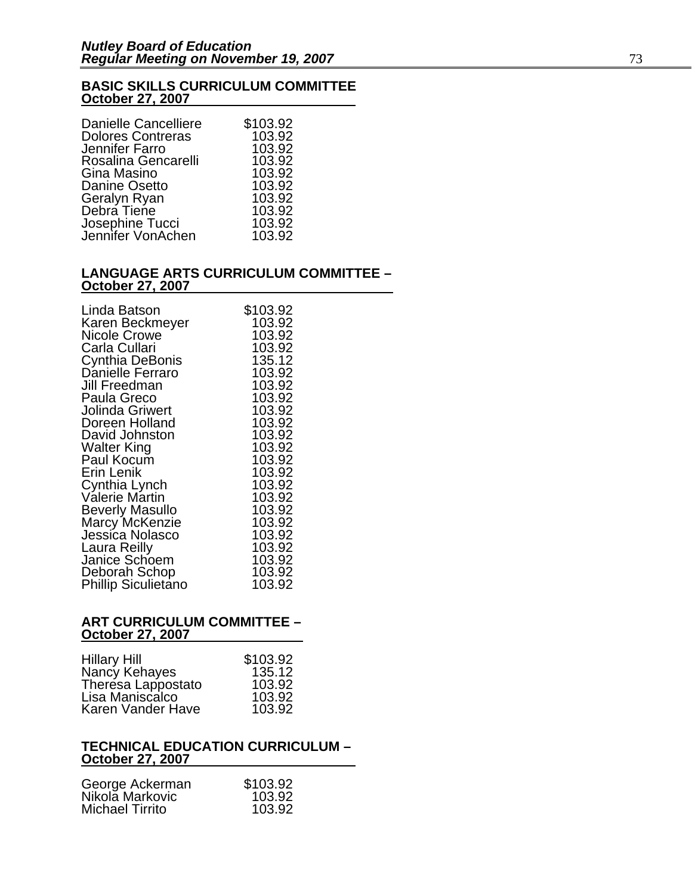### **BASIC SKILLS CURRICULUM COMMITTEE October 27, 2007**

| <b>Danielle Cancelliere</b>          | \$103.92 |
|--------------------------------------|----------|
| <b>Dolores Contreras</b>             | 103.92   |
| Jennifer Farro                       | 103.92   |
| Rosalina Gencarelli                  | 103.92   |
| Gina Masino                          | 103.92   |
| Danine Osetto                        | 103.92   |
| Geralyn Ryan                         | 103.92   |
| Debra Tiene                          | 103.92   |
| Josephine Tucci<br>Jennifer VonAchen | 103.92   |
|                                      | 103.92   |

#### **LANGUAGE ARTS CURRICULUM COMMITTEE – October 27, 2007**

| Linda Batson                                    | \$103.92         |
|-------------------------------------------------|------------------|
| Karen Beckmeyer                                 | 103.92           |
| <b>Nicole Crowe</b><br>Carla Cullari            | 103.92<br>103.92 |
| Cynthia DeBonis                                 | 135.12           |
| Danielle Ferraro                                | 103.92           |
| Jill Freedman                                   | 103.92           |
| Paula Greco                                     | 103.92           |
| Jolinda Griwert                                 | 103.92           |
| Doreen Holland                                  | 103.92           |
| David Johnston                                  | 103.92           |
| <b>Walter King</b>                              | 103.92           |
| Paul Kocum                                      | 103.92           |
| Erin Lenik                                      | 103.92           |
| Cynthia Lynch                                   | 103.92           |
| Valerie Martin                                  | 103.92<br>103.92 |
| <b>Beverly Masullo</b><br><b>Marcy McKenzie</b> | 103.92           |
| Jessica Nolasco                                 | 103.92           |
| Laura Reilly                                    | 103.92           |
| Janice Schoem                                   | 103.92           |
| Deborah Schop                                   | 103.92           |
| <b>Phillip Siculietano</b>                      | 103.92           |

#### **ART CURRICULUM COMMITTEE – October 27, 2007**

| <b>Hillary Hill</b> | \$103.92 |
|---------------------|----------|
| Nancy Kehayes       | 135.12   |
| Theresa Lappostato  | 103.92   |
| Lisa Maniscalco     | 103.92   |
| Karen Vander Have   | 103.92   |

#### **TECHNICAL EDUCATION CURRICULUM – October 27, 2007**

| \$103.92 |
|----------|
| 103.92   |
| 103.92   |
|          |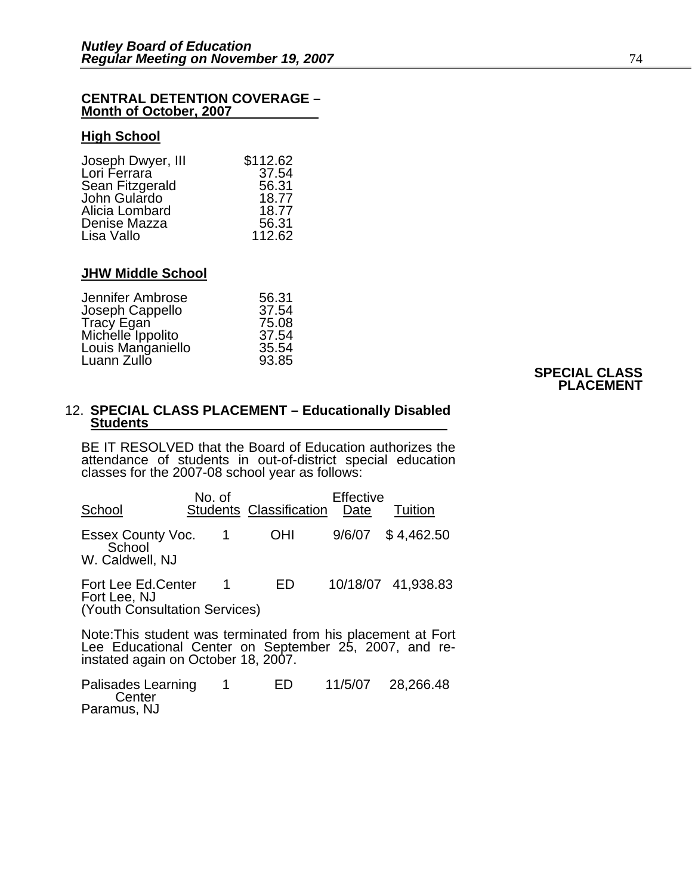#### **CENTRAL DETENTION COVERAGE – Month of October, 2007**

#### **High School**

| Joseph Dwyer, III | \$112.62 |
|-------------------|----------|
| Lori Ferrara      | 37.54    |
| Sean Fitzgerald   | 56.31    |
| John Gulardo      | 18.77    |
| Alicia Lombard    | 18.77    |
| Denise Mazza      | 56.31    |
| Lisa Vallo        | 112.62   |

#### **JHW Middle School**

| 56.31 |
|-------|
| 37.54 |
| 75.08 |
| 37.54 |
| 35.54 |
| 93.85 |
|       |

#### **SPECIAL CLASS PLACEMENT**

#### 12. **SPECIAL CLASS PLACEMENT – Educationally Disabled Students**

BE IT RESOLVED that the Board of Education authorizes the attendance of students in out-of-district special education classes for the 2007-08 school year as follows:

| School                                                              | No. of           | <b>Students Classification</b> | Effective<br>Date | Tuition            |
|---------------------------------------------------------------------|------------------|--------------------------------|-------------------|--------------------|
| <b>Essex County Voc.</b><br>School<br>W. Caldwell, NJ               |                  | <b>OHI</b>                     | 9/6/07            | \$4,462.50         |
| Fort Lee Ed.Center<br>Fort Lee, NJ<br>(Youth Consultation Services) | $\blacksquare$ 1 | ED.                            |                   | 10/18/07 41,938.83 |
| Note: This student was terminated from his placement at Fort        |                  |                                |                   |                    |

Note:This student was terminated from his placement at Fort Lee Educational Center on September 25, 2007, and re- instated again on October 18, 2007.

Palisades Learning 1 ED 11/5/07 28,266.48 **Center** Paramus, NJ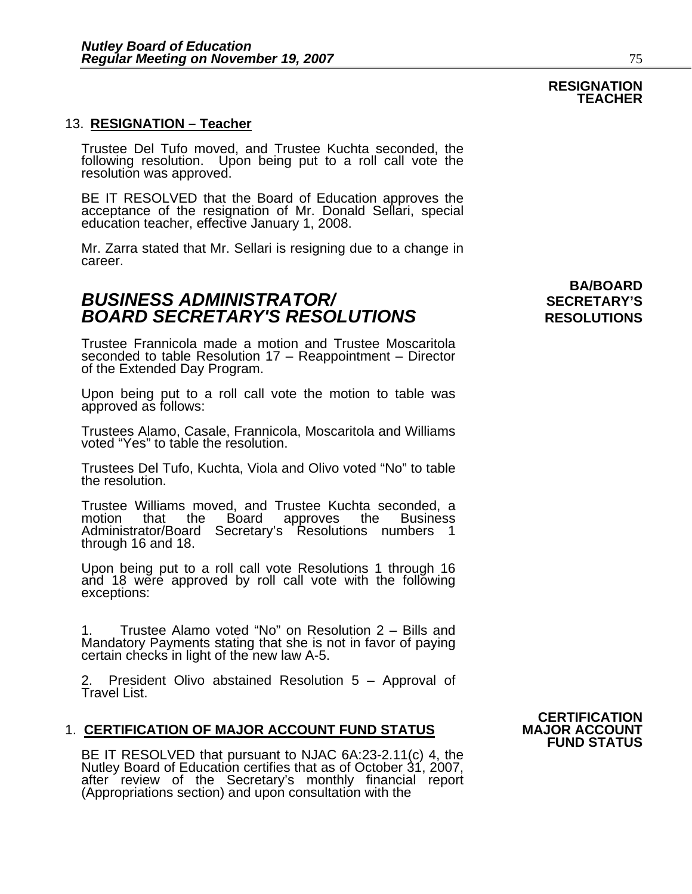#### 13. **RESIGNATION – Teacher**

Trustee Del Tufo moved, and Trustee Kuchta seconded, the following resolution. Upon being put to a roll call vote the resolution was approved.

BE IT RESOLVED that the Board of Education approves the acceptance of the resignation of Mr. Donald Sellari, special education teacher, effective January 1, 2008.

Mr. Zarra stated that Mr. Sellari is resigning due to a change in career.

### *BUSINESS ADMINISTRATOR/* **SECRETARY'S BOARD SECRETARY'S RESOLUTIONS** RESOLUTIONS

Trustee Frannicola made a motion and Trustee Moscaritola seconded to table Resolution 17 – Reappointment – Director of the Extended Day Program.

Upon being put to a roll call vote the motion to table was approved as follows:

Trustees Alamo, Casale, Frannicola, Moscaritola and Williams voted "Yes" to table the resolution.

Trustees Del Tufo, Kuchta, Viola and Olivo voted "No" to table the resolution.

Trustee Williams moved, and Trustee Kuchta seconded, a motion that the Board approves the Business Administrator/Board Secretary's Resolutions numbers 1<br>through 16 and 18.

Upon being put to a roll call vote Resolutions 1 through 16 and 18 were approved by roll call vote with the following exceptions:

1. Trustee Alamo voted "No" on Resolution 2 – Bills and Mandatory Payments stating that she is not in favor of paying certain checks in light of the new law A-5.

2. President Olivo abstained Resolution 5 – Approval of<br>Travel List.

#### 1. **CERTIFICATION OF MAJOR ACCOUNT FUND STATUS**

BE IT RESOLVED that pursuant to NJAC 6A:23-2.11(c) 4, the Nutley Board of Education certifies that as of October 31, 2007, after review of the Secretary's monthly financial report (Appropriations section) and upon consultation with the **CERTIFICATION FUND STATUS** 

**BA/BOARD** 

#### **RESIGNATION TEACHER**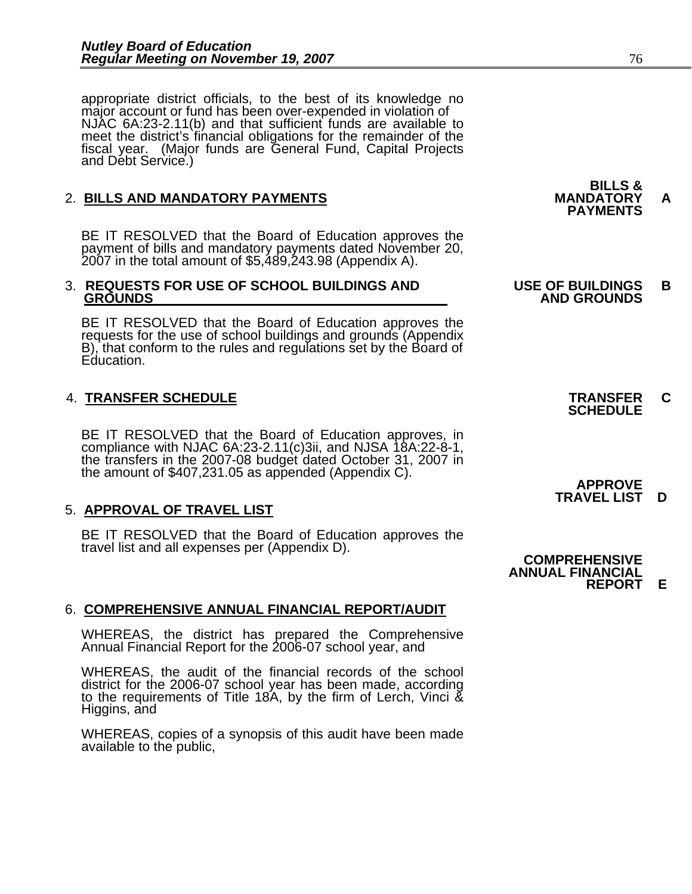appropriate district officials, to the best of its knowledge no major account or fund has been over-expended in violation of NJAC 6A:23-2.11(b) and that sufficient funds are available to meet the district's financial obligations for the remainder of the fiscal year. (Major funds are General Fund, Capital Projects and Debt Service.)

## 2. **BILLS AND MANDATORY PAYMENTS MANDATORY A PAYMENTS**

BE IT RESOLVED that the Board of Education approves the payment of bills and mandatory payments dated November 20, 2007 in the total amount of \$5,489,243.98 (Appendix A).

# 3. **REQUESTS FOR USE OF SCHOOL BUILDINGS AND USE OF BUILDINGS B**

BE IT RESOLVED that the Board of Education approves the requests for the use of school buildings and grounds (Appendix B), that conform to the rules and regulations set by the Board of Education.

# 4. **TRANSFER SCHEDULE TRANSFER C SCHEDULE**

BE IT RESOLVED that the Board of Education approves, in compliance with NJAC 6A:23-2.11(c)3ii, and NJSA 18A:22-8-1, the transfers in the 2007-08 budget dated October 31, 2007 in the amount of \$407,231.05 as appended (Appen

5. **APPROVAL OF TRAVEL LIST**<br>BE IT RESOLVED that the Board of Education approves the<br>travel list and all expenses per (Appendix D).<br>**COMPREHENSIVE** 

### 6. **COMPREHENSIVE ANNUAL FINANCIAL REPORT/AUDIT**

WHEREAS, the district has prepared the Comprehensive Annual Financial Report for the 2006-07 school year, and

WHEREAS, the audit of the financial records of the school district for the 2006-07 school year has been made, according to the requirements of Title 18A, by the firm of Lerch, Vinci & Higgins, and

WHEREAS, copies of a synopsis of this audit have been made available to the public,

# **BILLS &**

# **GROUNDS AND GROUNDS**

 **APPROVE TRAVEL LIST D**

 **ANNUAL FINANCIAL REPORT E**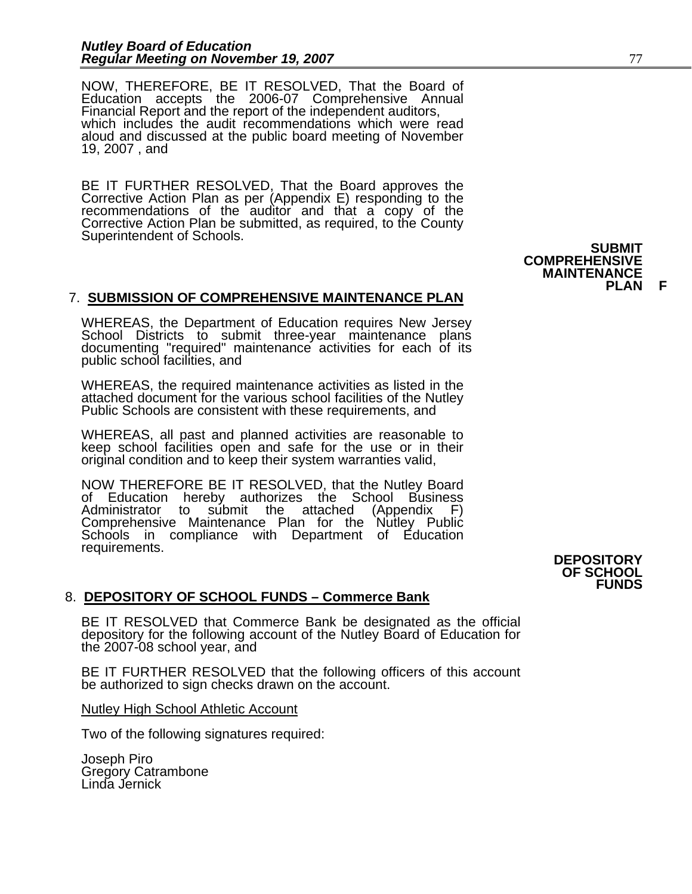NOW, THEREFORE, BE IT RESOLVED, That the Board of Education accepts the 2006-07 Comprehensive Annual Financial Report and the report of the independent auditors, Financial Report and the report of the independent auditors, which includes the audit recommendations which were read aloud and discussed at the public board meeting of November 19, 2007 , and

BE IT FURTHER RESOLVED, That the Board approves the Corrective Action Plan as per (Appendix E) responding to the recommendations of the auditor and that a copy of the Corrective Action Plan be submitted, as required, to the County Superintendent of Schools.

### 7. **SUBMISSION OF COMPREHENSIVE MAINTENANCE PLAN**

WHEREAS, the Department of Education requires New Jersey<br>School Districts to submit three-year maintenance plans<br>documenting "required" maintenance activities for each of its public school facilities, and

WHEREAS, the required maintenance activities as listed in the attached document for the various school facilities of the Nutley Public Schools are consistent with these requirements, and

WHEREAS, all past and planned activities are reasonable to keep school facilities open and safe for the use or in their original condition and to keep their system warranties valid,

NOW THEREFORE BE IT RESOLVED, that the Nutley Board of Education hereby authorizes the School Business Administrator to submit the attached (Appendix F)<br>Comprehensive Maintenance Plan for the Nutley Public Schools in compliance with Department of Education requirements.<br> **DEPOSITORY** 

#### 8. **DEPOSITORY OF SCHOOL FUNDS – Commerce Bank**

BE IT RESOLVED that Commerce Bank be designated as the official depository for the following account of the Nutley Board of Education for the 2007-08 school year, and

BE IT FURTHER RESOLVED that the following officers of this account be authorized to sign checks drawn on the account.

Nutley High School Athletic Account

Two of the following signatures required:

Joseph Piro Gregory Catrambone Linda Jernick

**COMPREHENSIVE MAINTENANCE PLAN** 

## **OF SCHOOL FUNDS**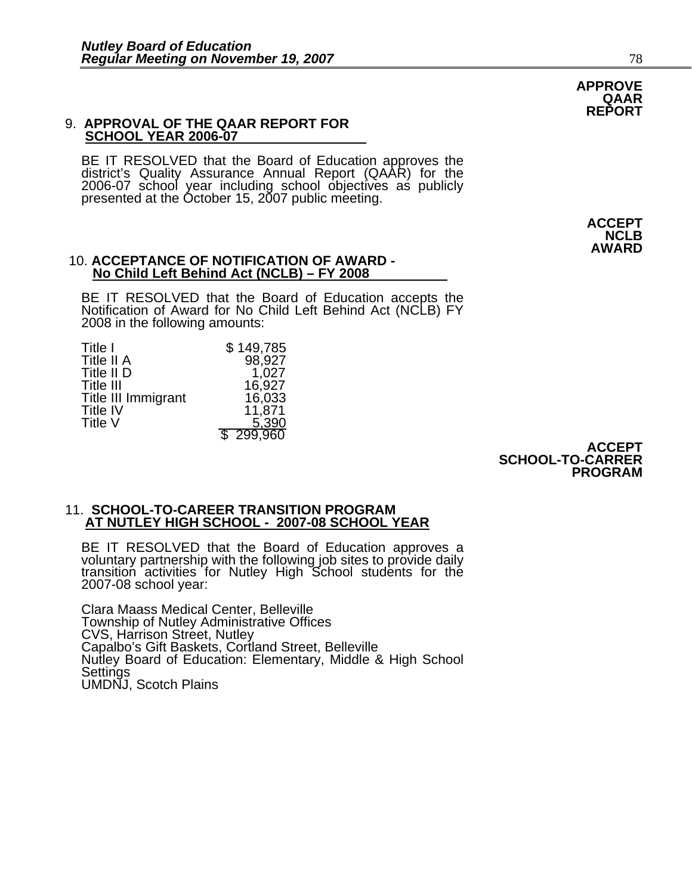#### 9. **APPROVAL OF THE QAAR REPORT FOR SCHOOL YEAR 2006-07**

BE IT RESOLVED that the Board of Education approves the district's Quality Assurance Annual Report (QAAR) for the 2006-07 school year including school objectives as publicly presented at the October 15, 2007 public meeting.

#### 10. **ACCEPTANCE OF NOTIFICATION OF AWARD - No Child Left Behind Act (NCLB) – FY 2008**

BE IT RESOLVED that the Board of Education accepts the Notification of Award for No Child Left Behind Act (NCLB) FY 2008 in the following amounts:

| Title I             | \$149,785 |
|---------------------|-----------|
| Title II A          | 98,927    |
| Title II D          | 1,027     |
| <b>Title III</b>    | 16,927    |
| Title III Immigrant | 16,033    |
| <b>Title IV</b>     | 11,871    |
| Title V             | 5,390     |
|                     | \$299,960 |

**ACCEPT SCHOOL-TO-CARRER PROGRAM** 

#### 11. **SCHOOL-TO-CAREER TRANSITION PROGRAM AT NUTLEY HIGH SCHOOL - 2007-08 SCHOOL YEAR**

BE IT RESOLVED that the Board of Education approves a voluntary partnership with the following job sites to provide daily transition activities for Nutley High School students for the 2007-08 school year:

Clara Maass Medical Center, Belleville Township of Nutley Administrative Offices CVS, Harrison Street, Nutley Capalbo's Gift Baskets, Cortland Street, Belleville Nutley Board of Education: Elementary, Middle & High School Settings UMDNJ, Scotch Plains

**APPROVE QAAR REPORT**

> **ACCEPT NCLB AWARD**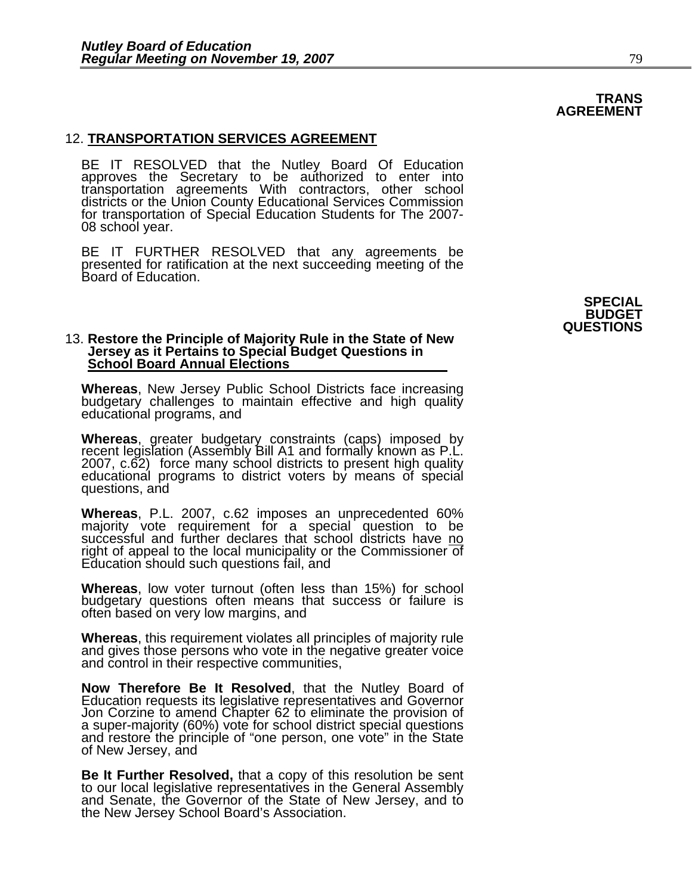#### 12. **TRANSPORTATION SERVICES AGREEMENT**

BE IT RESOLVED that the Nutley Board Of Education approves the Secretary to be authorized to enter into transportation agreements With contractors, other school districts or the Union County Educational Services Commission for transportation of Special Education Students for The 2007- 08 school year.

BE IT FURTHER RESOLVED that any agreements be presented for ratification at the next succeeding meeting of the Board of Education.

## 13. **Restore the Principle of Majority Rule in the State of New Jersey as it Pertains to Special Budget Questions in School Board Annual Elections**

**Whereas**, New Jersey Public School Districts face increasing budgetary challenges to maintain effective and high quality educational programs, and

Whereas, greater budgetary constraints (caps) imposed by recent legislation (Assembly Bill A1 and formally known as P.L. 2007, c.62) force many school districts to present high quality educational programs to district vote questions, and

**Whereas**, P.L. 2007, c.62 imposes an unprecedented 60% majority vote requirement for a special question to be successful and further declares that school districts have no right of appeal to the local municipality or the Commissioner of Education should such questions fail, and

**Whereas**, low voter turnout (often less than 15%) for school budgetary questions often means that success or failure is often based on very low margins, and

**Whereas**, this requirement violates all principles of majority rule and gives those persons who vote in the negative greater voice and control in their respective communities,

Now Therefore Be It Resolved, that the Nutley Board of Education requests its legislative representatives and Governor<br>Jon Corzine to amend Chapter 62 to eliminate the provision of<br>a super-majority (60%) vote for school di

Be It Further Resolved, that a copy of this resolution be sent<br>to our local legislative representatives in the General Assembly<br>and Senate, the Governor of the State of New Jersey, and to<br>the New Jersey School Board's Asso

#### **TRANS AGREEMENT**

**SPECIAL BUDGET QUESTIONS**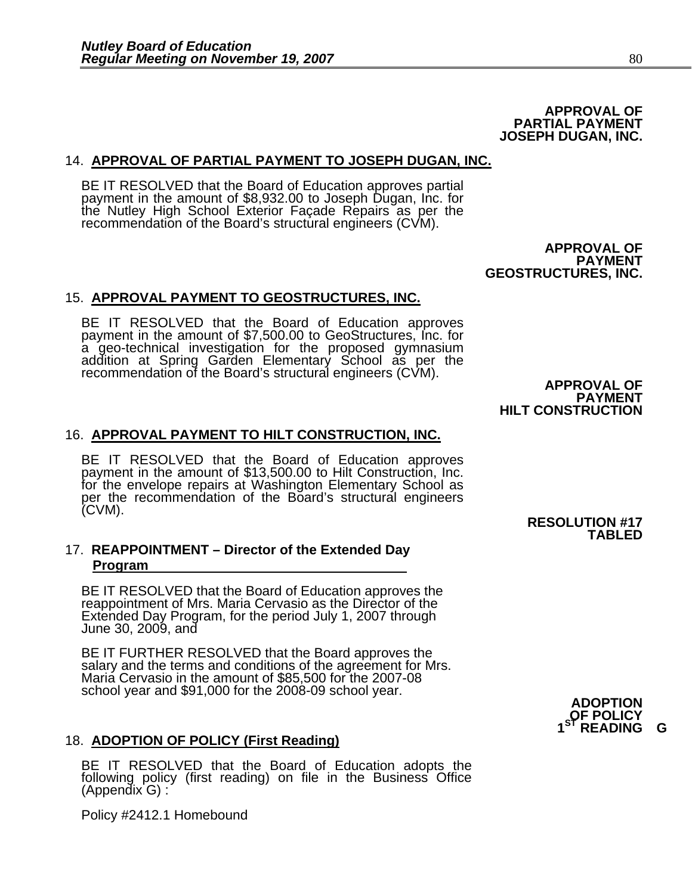#### **APPROVAL OF PARTIAL PAYMENT JOSEPH DUGAN, INC.**

#### 14. **APPROVAL OF PARTIAL PAYMENT TO JOSEPH DUGAN, INC.**

BE IT RESOLVED that the Board of Education approves partial payment in the amount of \$8,932.00 to Joseph Dugan, Inc. for the Nutley High School Exterior Façade Repairs as per the recommendation of the Board's structural engineers (CVM).

> **APPROVAL OF PAYMENT GEOSTRUCTURES, INC.**

#### 15. **APPROVAL PAYMENT TO GEOSTRUCTURES, INC.**

BE IT RESOLVED that the Board of Education approves payment in the amount of \$7,500.00 to GeoStructures, Inc. for a geo-technical investigation for the proposed gymnasium addition at Spring Garden Elementary School as per the recommendation of the Board's structural engineers (CVM). **APPROVAL OF**

**PAYMENT HILT CONSTRUCTION** 

#### 16. **APPROVAL PAYMENT TO HILT CONSTRUCTION, INC.**

BE IT RESOLVED that the Board of Education approves payment in the amount of \$13,500.00 to Hilt Construction, Inc. for the envelope repairs at Washington Elementary School as per the recommendation of the Board's structural engineers (CVM). **RESOLUTION #17**

#### 17. **REAPPOINTMENT – Director of the Extended Day Program**

BE IT RESOLVED that the Board of Education approves the<br>reappointment of Mrs. Maria Cervasio as the Director of the Extended Day Program, for the period July 1, 2007 through June 30, 2009, and

BE IT FURTHER RESOLVED that the Board approves the salary and the terms and conditions of the agreement for Mrs. Maria Cervasio in the amount of \$85,500 for the 2007-08 school year and \$91,000 for the 2008-09 school year.

### 18. **ADOPTION OF POLICY (First Reading)**

BE IT RESOLVED that the Board of Education adopts the following policy (first reading) on file in the Business Office (Appendix G) :

Policy #2412.1 Homebound

## **TABLED**

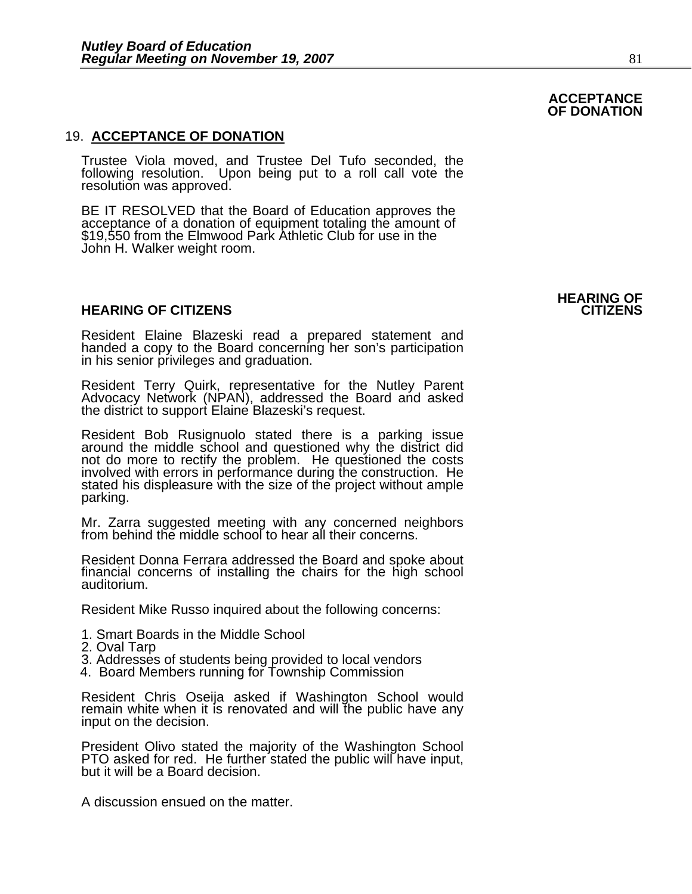#### 19. **ACCEPTANCE OF DONATION**

Trustee Viola moved, and Trustee Del Tufo seconded, the following resolution. Upon being put to a roll call vote the resolution was approved.

BE IT RESOLVED that the Board of Education approves the acceptance of a donation of equipment totaling the amount of \$19,550 from the Elmwood Park Athletic Club for use in the John H. Walker weight room.

#### **HEARING OF CITIZENS CITIZENS**

Resident Elaine Blazeski read a prepared statement and handed a copy to the Board concerning her son's participation in his senior privileges and graduation.

Resident Terry Quirk, representative for the Nutley Parent Advocacy Network (NPAN), addressed the Board and asked the district to support Elaine Blazeski's request.

Resident Bob Rusignuolo stated there is a parking issue<br>around the middle school and questioned why the district did<br>not do more to rectify the problem. He questioned the costs<br>involved with errors in performance during th

Mr. Zarra suggested meeting with any concerned neighbors from behind the middle school to hear all their concerns.

Resident Donna Ferrara addressed the Board and spoke about financial concerns of installing the chairs for the high school auditorium.

Resident Mike Russo inquired about the following concerns:

- 1. Smart Boards in the Middle School
- 2. Oval Tarp
- 3. Addresses of students being provided to local vendors 4. Board Members running for Township Commission
- 

Resident Chris Oseija asked if Washington School would remain white when it is renovated and will the public have any input on the decision.

President Olivo stated the majority of the Washington School PTO asked for red. He further stated the public will have input, but it will be a Board decision.

A discussion ensued on the matter.

#### **ACCEPTANCE OF DONATION**

## **HEARING OF**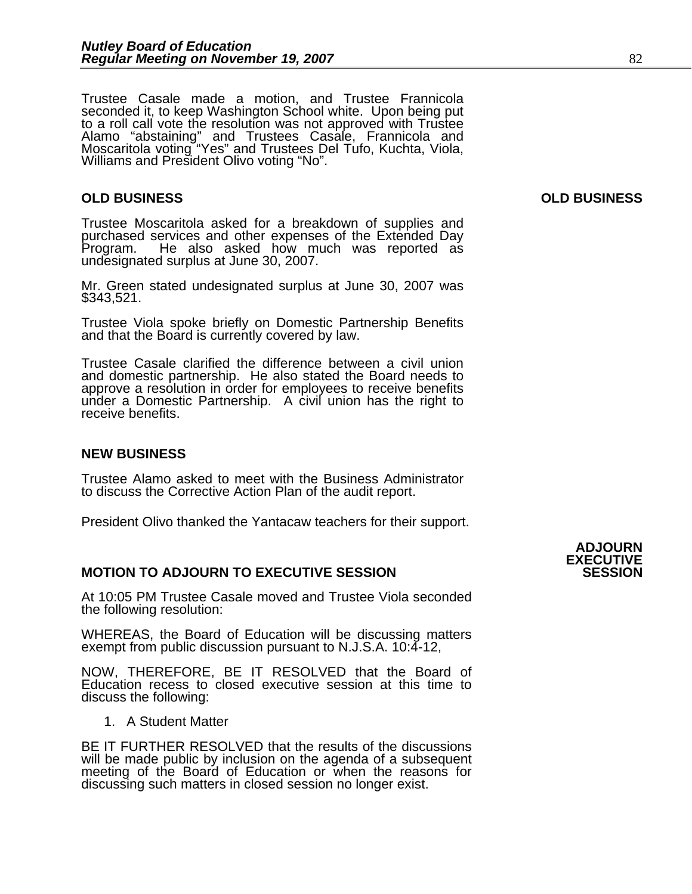Trustee Casale made a motion, and Trustee Frannicola seconded it, to keep Washington School white. Upon being put<br>to a roll call vote the resolution was not approved with Trustee<br>Alamo "abstaining" and Trustees Casale, Frannicola and Moscaritola voting "Yes" and Trustees Del Tufo, Kuchta, Viola, Williams and President Olivo voting "No".

Trustee Moscaritola asked for a breakdown of supplies and purchased services and other expenses of the Extended Day Program. He also asked how much was reported as undesignated surplus at June 30, 2007.

Mr. Green stated undesignated surplus at June 30, 2007 was<br>\$343,521.

Trustee Viola spoke briefly on Domestic Partnership Benefits and that the Board is currently covered by law.

Trustee Casale clarified the difference between a civil union and domestic partnership. He also stated the Board needs to under a Domestic Partnership. A civil union has the right to receive benefits.

#### **NEW BUSINESS**

Trustee Alamo asked to meet with the Business Administrator to discuss the Corrective Action Plan of the audit report.

President Olivo thanked the Yantacaw teachers for their support.

#### **MOTION TO ADJOURN TO EXECUTIVE SESSION SESSION**

At 10:05 PM Trustee Casale moved and Trustee Viola seconded the following resolution:

WHEREAS, the Board of Education will be discussing matters exempt from public discussion pursuant to N.J.S.A. 10:4-12,

NOW, THEREFORE, BE IT RESOLVED that the Board of Education recess to closed executive session at this time to discuss the following:

1. A Student Matter

BE IT FURTHER RESOLVED that the results of the discussions will be made public by inclusion on the agenda of a subsequent meeting of the Board of Education or when the reasons for discussing such matters in closed session no longer exist.

#### **OLD BUSINESS OLD BUSINESS**